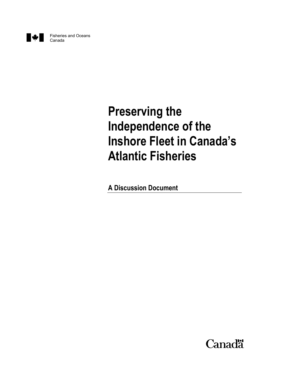

# **Preserving the Independence of the Inshore Fleet in Canada's Atlantic Fisheries**

**A Discussion Document**

**Canadä**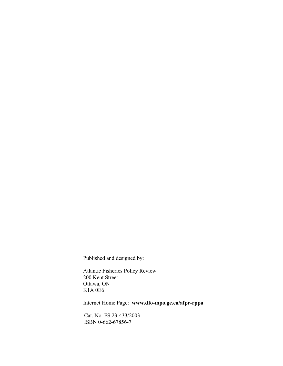Published and designed by:

Atlantic Fisheries Policy Review 200 Kent Street Ottawa, ON K1A 0E6

Internet Home Page: **www.dfo-mpo.gc.ca/afpr-rppa**

Cat. No. FS 23-433/2003 ISBN 0-662-67856-7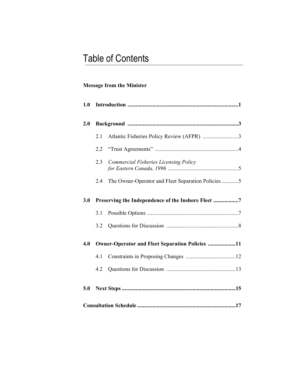## Table of Contents

## **Message from the Minister**

| 1.0 |                                                        |                                                    |  |
|-----|--------------------------------------------------------|----------------------------------------------------|--|
| 2.0 |                                                        |                                                    |  |
|     | 2.1                                                    | Atlantic Fisheries Policy Review (AFPR) 3          |  |
|     | 2.2                                                    |                                                    |  |
|     | 2.3                                                    | <b>Commercial Fisheries Licensing Policy</b>       |  |
|     | 2.4                                                    | The Owner-Operator and Fleet Separation Policies 5 |  |
| 3.0 |                                                        | Preserving the Independence of the Inshore Fleet 7 |  |
|     | 3.1                                                    |                                                    |  |
|     | 3.2                                                    |                                                    |  |
| 4.0 | <b>Owner-Operator and Fleet Separation Policies 11</b> |                                                    |  |
|     | 4.1                                                    |                                                    |  |
|     | 4.2                                                    |                                                    |  |
| 5.0 |                                                        |                                                    |  |
|     |                                                        |                                                    |  |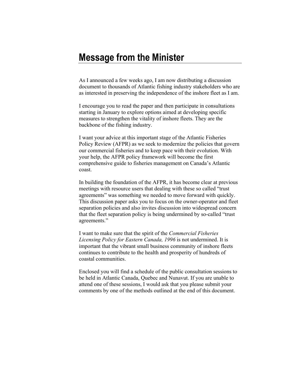## **Message from the Minister**

As I announced a few weeks ago, I am now distributing a discussion document to thousands of Atlantic fishing industry stakeholders who are as interested in preserving the independence of the inshore fleet as I am.

I encourage you to read the paper and then participate in consultations starting in January to explore options aimed at developing specific measures to strengthen the vitality of inshore fleets. They are the backbone of the fishing industry.

I want your advice at this important stage of the Atlantic Fisheries Policy Review (AFPR) as we seek to modernize the policies that govern our commercial fisheries and to keep pace with their evolution. With your help, the AFPR policy framework will become the first comprehensive guide to fisheries management on Canada's Atlantic coast.

In building the foundation of the AFPR, it has become clear at previous meetings with resource users that dealing with these so called "trust agreements" was something we needed to move forward with quickly. This discussion paper asks you to focus on the owner-operator and fleet separation policies and also invites discussion into widespread concern that the fleet separation policy is being undermined by so-called "trust agreements."

I want to make sure that the spirit of the *Commercial Fisheries Licensing Policy for Eastern Canada, 1996* is not undermined. It is important that the vibrant small business community of inshore fleets continues to contribute to the health and prosperity of hundreds of coastal communities.

Enclosed you will find a schedule of the public consultation sessions to be held in Atlantic Canada, Quebec and Nunavut. If you are unable to attend one of these sessions, I would ask that you please submit your comments by one of the methods outlined at the end of this document.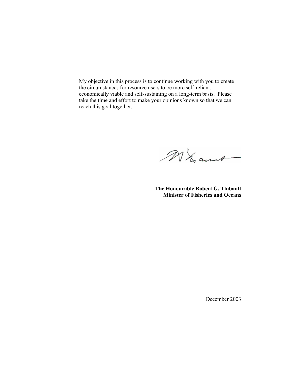My objective in this process is to continue working with you to create the circumstances for resource users to be more self-reliant, economically viable and self-sustaining on a long-term basis. Please take the time and effort to make your opinions known so that we can reach this goal together.

MI ant

**The Honourable Robert G. Thibault Minister of Fisheries and Oceans** 

December 2003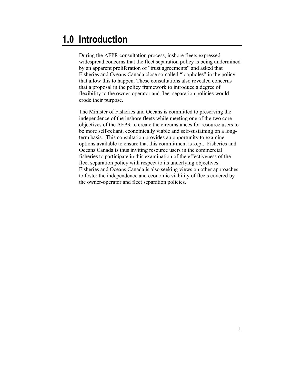## **1.0 Introduction**

During the AFPR consultation process, inshore fleets expressed widespread concerns that the fleet separation policy is being undermined by an apparent proliferation of "trust agreements" and asked that Fisheries and Oceans Canada close so-called "loopholes" in the policy that allow this to happen. These consultations also revealed concerns that a proposal in the policy framework to introduce a degree of flexibility to the owner-operator and fleet separation policies would erode their purpose.

The Minister of Fisheries and Oceans is committed to preserving the independence of the inshore fleets while meeting one of the two core objectives of the AFPR to create the circumstances for resource users to be more self-reliant, economically viable and self-sustaining on a longterm basis. This consultation provides an opportunity to examine options available to ensure that this commitment is kept. Fisheries and Oceans Canada is thus inviting resource users in the commercial fisheries to participate in this examination of the effectiveness of the fleet separation policy with respect to its underlying objectives. Fisheries and Oceans Canada is also seeking views on other approaches to foster the independence and economic viability of fleets covered by the owner-operator and fleet separation policies.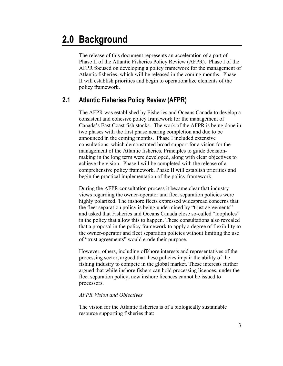## **2.0 Background**

The release of this document represents an acceleration of a part of Phase II of the Atlantic Fisheries Policy Review (AFPR). Phase I of the AFPR focused on developing a policy framework for the management of Atlantic fisheries, which will be released in the coming months. Phase II will establish priorities and begin to operationalize elements of the policy framework.

### **2.1 Atlantic Fisheries Policy Review (AFPR)**

 The AFPR was established by Fisheries and Oceans Canada to develop a consistent and cohesive policy framework for the management of Canada's East Coast fish stocks. The work of the AFPR is being done in two phases with the first phase nearing completion and due to be announced in the coming months. Phase I included extensive consultations, which demonstrated broad support for a vision for the management of the Atlantic fisheries. Principles to guide decisionmaking in the long term were developed, along with clear objectives to achieve the vision. Phase I will be completed with the release of a comprehensive policy framework. Phase II will establish priorities and begin the practical implementation of the policy framework.

 During the AFPR consultation process it became clear that industry views regarding the owner-operator and fleet separation policies were highly polarized. The inshore fleets expressed widespread concerns that the fleet separation policy is being undermined by "trust agreements" and asked that Fisheries and Oceans Canada close so-called "loopholes" in the policy that allow this to happen. These consultations also revealed that a proposal in the policy framework to apply a degree of flexibility to the owner-operator and fleet separation policies without limiting the use of "trust agreements" would erode their purpose.

 However, others, including offshore interests and representatives of the processing sector, argued that these policies impair the ability of the fishing industry to compete in the global market. These interests further argued that while inshore fishers can hold processing licences, under the fleet separation policy, new inshore licences cannot be issued to processors.

#### *AFPR Vision and Objectives*

The vision for the Atlantic fisheries is of a biologically sustainable resource supporting fisheries that: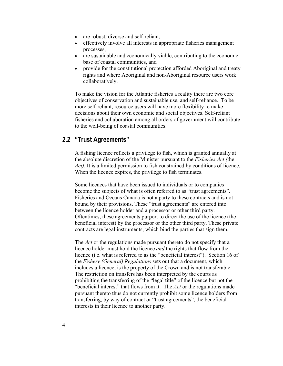- are robust, diverse and self-reliant,
- effectively involve all interests in appropriate fisheries management processes,
- are sustainable and economically viable, contributing to the economic base of coastal communities, and
- provide for the constitutional protection afforded Aboriginal and treaty rights and where Aboriginal and non-Aboriginal resource users work collaboratively.

To make the vision for the Atlantic fisheries a reality there are two core objectives of conservation and sustainable use, and self-reliance. To be more self-reliant, resource users will have more flexibility to make decisions about their own economic and social objectives. Self-reliant fisheries and collaboration among all orders of government will contribute to the well-being of coastal communities.

### **2.2 "Trust Agreements"**

A fishing licence reflects a privilege to fish, which is granted annually at the absolute discretion of the Minister pursuant to the *Fisheries Act (*the *Act)*. It is a limited permission to fish constrained by conditions of licence. When the licence expires, the privilege to fish terminates.

Some licences that have been issued to individuals or to companies become the subjects of what is often referred to as "trust agreements". Fisheries and Oceans Canada is not a party to these contracts and is not bound by their provisions. These "trust agreements" are entered into between the licence holder and a processor or other third party. Oftentimes, these agreements purport to direct the use of the licence (the beneficial interest) by the processor or the other third party. These private contracts are legal instruments, which bind the parties that sign them.

The *Act* or the regulations made pursuant thereto do not specify that a licence holder must hold the licence *and* the rights that flow from the licence (i.e. what is referred to as the "beneficial interest"). Section 16 of the *Fishery (General) Regulations* sets out that a document, which includes a licence, is the property of the Crown and is not transferable. The restriction on transfers has been interpreted by the courts as prohibiting the transferring of the "legal title" of the licence but not the "beneficial interest" that flows from it. The *Act* or the regulations made pursuant thereto thus do not currently prohibit some licence holders from transferring, by way of contract or "trust agreements", the beneficial interests in their licence to another party.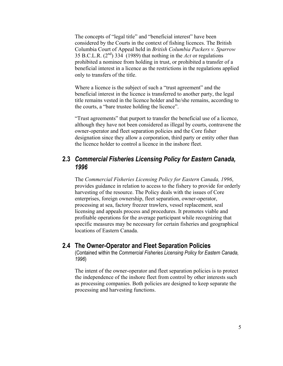The concepts of "legal title" and "beneficial interest" have been considered by the Courts in the context of fishing licences. The British Columbia Court of Appeal held in *British Columbia Packers v. Sparrow* 35 B.C.L.R. (2nd) 334 (1989) that nothing in the *Act* or regulations prohibited a nominee from holding in trust, or prohibited a transfer of a beneficial interest in a licence as the restrictions in the regulations applied only to transfers of the title.

Where a licence is the subject of such a "trust agreement" and the beneficial interest in the licence is transferred to another party, the legal title remains vested in the licence holder and he/she remains, according to the courts, a "bare trustee holding the licence".

"Trust agreements" that purport to transfer the beneficial use of a licence, although they have not been considered as illegal by courts, contravene the owner-operator and fleet separation policies and the Core fisher designation since they allow a corporation, third party or entity other than the licence holder to control a licence in the inshore fleet.

### **2.3** *Commercial Fisheries Licensing Policy for Eastern Canada, 1996*

 The *Commercial Fisheries Licensing Policy for Eastern Canada, 1996*, provides guidance in relation to access to the fishery to provide for orderly harvesting of the resource. The Policy deals with the issues of Core enterprises, foreign ownership, fleet separation, owner-operator, processing at sea, factory freezer trawlers, vessel replacement, seal licensing and appeals process and procedures. It promotes viable and profitable operations for the average participant while recognizing that specific measures may be necessary for certain fisheries and geographical locations of Eastern Canada.

### **2.4 The Owner-Operator and Fleet Separation Policies**

(Contained within the *Commercial Fisheries Licensing Policy for Eastern Canada, 1996*)

 The intent of the owner-operator and fleet separation policies is to protect the independence of the inshore fleet from control by other interests such as processing companies. Both policies are designed to keep separate the processing and harvesting functions.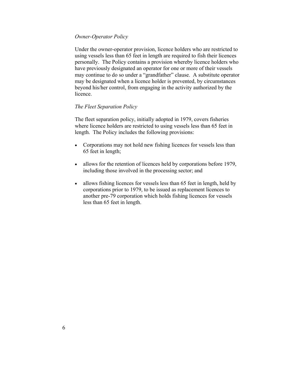#### *Owner-Operator Policy*

Under the owner-operator provision, licence holders who are restricted to using vessels less than 65 feet in length are required to fish their licences personally. The Policy contains a provision whereby licence holders who have previously designated an operator for one or more of their vessels may continue to do so under a "grandfather" clause. A substitute operator may be designated when a licence holder is prevented, by circumstances beyond his/her control, from engaging in the activity authorized by the licence.

#### *The Fleet Separation Policy*

The fleet separation policy, initially adopted in 1979, covers fisheries where licence holders are restricted to using vessels less than 65 feet in length. The Policy includes the following provisions:

- Corporations may not hold new fishing licences for vessels less than 65 feet in length;
- allows for the retention of licences held by corporations before 1979, including those involved in the processing sector; and
- allows fishing licences for vessels less than 65 feet in length, held by corporations prior to 1979, to be issued as replacement licences to another pre-79 corporation which holds fishing licences for vessels less than 65 feet in length.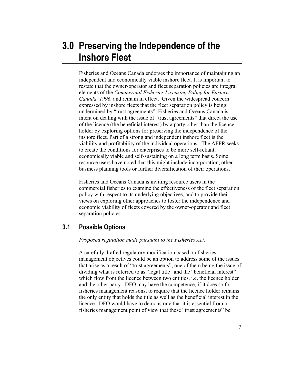## **3.0 Preserving the Independence of the Inshore Fleet**

Fisheries and Oceans Canada endorses the importance of maintaining an independent and economically viable inshore fleet. It is important to restate that the owner-operator and fleet separation policies are integral elements of the *Commercial Fisheries Licensing Policy for Eastern Canada, 1996,* and remain in effect. Given the widespread concern expressed by inshore fleets that the fleet separation policy is being undermined by "trust agreements", Fisheries and Oceans Canada is intent on dealing with the issue of "trust agreements" that direct the use of the licence (the beneficial interest) by a party other than the licence holder by exploring options for preserving the independence of the inshore fleet. Part of a strong and independent inshore fleet is the viability and profitability of the individual operations. The AFPR seeks to create the conditions for enterprises to be more self-reliant, economically viable and self-sustaining on a long term basis. Some resource users have noted that this might include incorporation, other business planning tools or further diversification of their operations.

Fisheries and Oceans Canada is inviting resource users in the commercial fisheries to examine the effectiveness of the fleet separation policy with respect to its underlying objectives, and to provide their views on exploring other approaches to foster the independence and economic viability of fleets covered by the owner-operator and fleet separation policies.

### **3.1 Possible Options**

*Proposed regulation made pursuant to the Fisheries Act.* 

A carefully drafted regulatory modification based on fisheries management objectives could be an option to address some of the issues that arise as a result of "trust agreements", one of them being the issue of dividing what is referred to as "legal title" and the "beneficial interest" which flow from the licence between two entities, i.e. the licence holder and the other party. DFO may have the competence, if it does so for fisheries management reasons, to require that the licence holder remains the only entity that holds the title as well as the beneficial interest in the licence. DFO would have to demonstrate that it is essential from a fisheries management point of view that these "trust agreements" be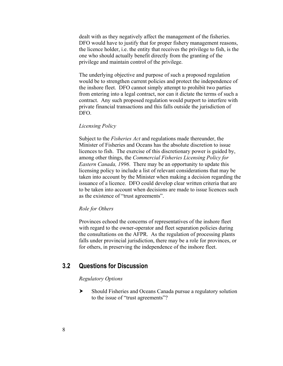dealt with as they negatively affect the management of the fisheries. DFO would have to justify that for proper fishery management reasons, the licence holder, i.e. the entity that receives the privilege to fish, is the one who should actually benefit directly from the granting of the privilege and maintain control of the privilege.

The underlying objective and purpose of such a proposed regulation would be to strengthen current policies and protect the independence of the inshore fleet. DFO cannot simply attempt to prohibit two parties from entering into a legal contract, nor can it dictate the terms of such a contract. Any such proposed regulation would purport to interfere with private financial transactions and this falls outside the jurisdiction of DFO.

#### *Licensing Policy*

Subject to the *Fisheries Act* and regulations made thereunder, the Minister of Fisheries and Oceans has the absolute discretion to issue licences to fish. The exercise of this discretionary power is guided by, among other things, the *Commercial Fisheries Licensing Policy for Eastern Canada, 1996*. There may be an opportunity to update this licensing policy to include a list of relevant considerations that may be taken into account by the Minister when making a decision regarding the issuance of a licence. DFO could develop clear written criteria that are to be taken into account when decisions are made to issue licences such as the existence of "trust agreements".

#### *Role for Others*

Provinces echoed the concerns of representatives of the inshore fleet with regard to the owner-operator and fleet separation policies during the consultations on the AFPR. As the regulation of processing plants falls under provincial jurisdiction, there may be a role for provinces, or for others, in preserving the independence of the inshore fleet.

### **3.2 Questions for Discussion**

#### *Regulatory Options*

 $\blacktriangleright$  Should Fisheries and Oceans Canada pursue a regulatory solution to the issue of "trust agreements"?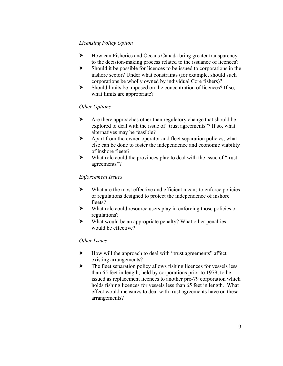#### *Licensing Policy Option*

- $\blacktriangleright$  How can Fisheries and Oceans Canada bring greater transparency to the decision-making process related to the issuance of licences?
- $\blacktriangleright$  Should it be possible for licences to be issued to corporations in the inshore sector? Under what constraints (for example, should such corporations be wholly owned by individual Core fishers)?
- $\blacktriangleright$  Should limits be imposed on the concentration of licences? If so, what limits are appropriate?

#### *Other Options*

- $\blacktriangleright$  Are there approaches other than regulatory change that should be explored to deal with the issue of "trust agreements"? If so, what alternatives may be feasible?
- $\blacktriangleright$  Apart from the owner-operator and fleet separation policies, what else can be done to foster the independence and economic viability of inshore fleets?
- $\blacktriangleright$  What role could the provinces play to deal with the issue of "trust" agreements"?

#### *Enforcement Issues*

- $\blacktriangleright$  What are the most effective and efficient means to enforce policies or regulations designed to protect the independence of inshore fleets?
- $\blacktriangleright$  What role could resource users play in enforcing those policies or regulations?
- $\blacktriangleright$  What would be an appropriate penalty? What other penalties would be effective?

#### *Other Issues*

- $\blacktriangleright$  How will the approach to deal with "trust agreements" affect existing arrangements?
- $\blacktriangleright$  The fleet separation policy allows fishing licences for vessels less than 65 feet in length, held by corporations prior to 1979, to be issued as replacement licences to another pre-79 corporation which holds fishing licences for vessels less than 65 feet in length. What effect would measures to deal with trust agreements have on these arrangements?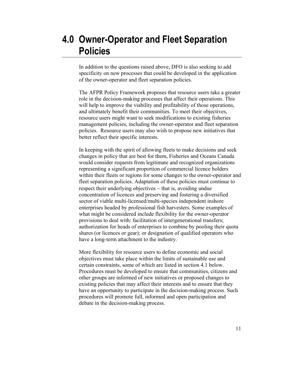## **4.0 Owner-Operator and Fleet Separation Policies**

In addition to the questions raised above, DFO is also seeking to add specificity on new processes that could be developed in the application of the owner-operator and fleet separation policies.

The AFPR Policy Framework proposes that resource users take a greater role in the decision-making processes that affect their operations. This will help to improve the viability and profitability of those operations, and ultimately benefit their communities. To meet their objectives, resource users might want to seek modifications to existing fisheries management policies, including the owner-operator and fleet separation policies. Resource users may also wish to propose new initiatives that better reflect their specific interests.

In keeping with the spirit of allowing fleets to make decisions and seek changes in policy that are best for them, Fisheries and Oceans Canada would consider requests from legitimate and recognized organizations representing a significant proportion of commercial licence holders within their fleets or regions for some changes to the owner-operator and fleet separation policies. Adaptation of these policies must continue to respect their underlying objectives − that is, avoiding undue concentration of licences and preserving and fostering a diversified sector of viable multi-licensed/multi-species independent inshore enterprises headed by professional fish harvesters. Some examples of what might be considered include flexibility for the owner-operator provisions to deal with: facilitation of intergenerational transfers; authorization for heads of enterprises to combine by pooling their quota shares (or licences or gear); or designation of qualified operators who have a long-term attachment to the industry.

More flexibility for resource users to define economic and social objectives must take place within the limits of sustainable use and certain constraints, some of which are listed in section 4.1 below. Procedures must be developed to ensure that communities, citizens and other groups are informed of new initiatives or proposed changes to existing policies that may affect their interests and to ensure that they have an opportunity to participate in the decision-making process. Such procedures will promote full, informed and open participation and debate in the decision-making process.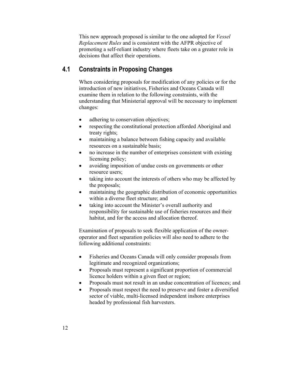This new approach proposed is similar to the one adopted for *Vessel Replacement Rules* and is consistent with the AFPR objective of promoting a self-reliant industry where fleets take on a greater role in decisions that affect their operations.

### **4.1 Constraints in Proposing Changes**

When considering proposals for modification of any policies or for the introduction of new initiatives, Fisheries and Oceans Canada will examine them in relation to the following constraints, with the understanding that Ministerial approval will be necessary to implement changes:

- adhering to conservation objectives;
- respecting the constitutional protection afforded Aboriginal and treaty rights;
- maintaining a balance between fishing capacity and available resources on a sustainable basis;
- no increase in the number of enterprises consistent with existing licensing policy;
- avoiding imposition of undue costs on governments or other resource users;
- taking into account the interests of others who may be affected by the proposals;
- maintaining the geographic distribution of economic opportunities within a diverse fleet structure; and
- taking into account the Minister's overall authority and responsibility for sustainable use of fisheries resources and their habitat, and for the access and allocation thereof.

Examination of proposals to seek flexible application of the owneroperator and fleet separation policies will also need to adhere to the following additional constraints:

- Fisheries and Oceans Canada will only consider proposals from legitimate and recognized organizations;
- Proposals must represent a significant proportion of commercial licence holders within a given fleet or region;
- Proposals must not result in an undue concentration of licences; and
- Proposals must respect the need to preserve and foster a diversified sector of viable, multi-licensed independent inshore enterprises headed by professional fish harvesters.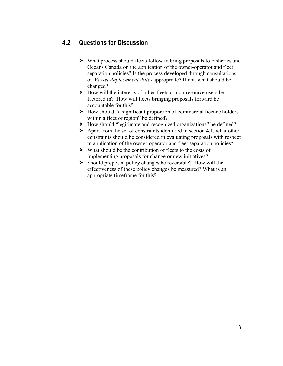## **4.2 Questions for Discussion**

- $\blacktriangleright$  What process should fleets follow to bring proposals to Fisheries and Oceans Canada on the application of the owner-operator and fleet separation policies? Is the process developed through consultations on *Vessel Replacement Rules* appropriate? If not, what should be changed?
- $\blacktriangleright$  How will the interests of other fleets or non-resource users be factored in? How will fleets bringing proposals forward be accountable for this?
- $\blacktriangleright$  How should "a significant proportion of commercial licence holders within a fleet or region" be defined?
- $\blacktriangleright$  How should "legitimate and recognized organizations" be defined?
- $\blacktriangleright$  Apart from the set of constraints identified in section 4.1, what other constraints should be considered in evaluating proposals with respect to application of the owner-operator and fleet separation policies?
- $\triangleright$  What should be the contribution of fleets to the costs of implementing proposals for change or new initiatives?
- $\blacktriangleright$  Should proposed policy changes be reversible? How will the effectiveness of these policy changes be measured? What is an appropriate timeframe for this?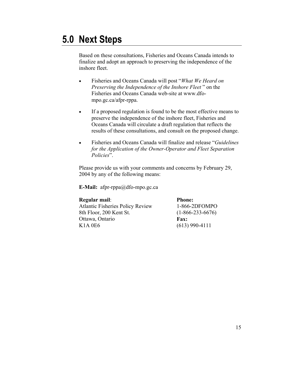## **5.0 Next Steps**

Based on these consultations, Fisheries and Oceans Canada intends to finalize and adopt an approach to preserving the independence of the inshore fleet.

- Fisheries and Oceans Canada will post "*What We Heard on Preserving the Independence of the Inshore Fleet* " on the Fisheries and Oceans Canada web-site at www.dfompo.gc.ca/afpr-rppa.
- If a proposed regulation is found to be the most effective means to preserve the independence of the inshore fleet, Fisheries and Oceans Canada will circulate a draft regulation that reflects the results of these consultations, and consult on the proposed change.
- Fisheries and Oceans Canada will finalize and release "*Guidelines for the Application of the Owner-Operator and Fleet Separation Policies*".

Please provide us with your comments and concerns by February 29, 2004 by any of the following means:

**E-Mail:** afpr-rppa@dfo-mpo.gc.ca

**Regular mail**: Atlantic Fisheries Policy Review 8th Floor, 200 Kent St. Ottawa, Ontario K1A 0E6

**Phone:**  1-866-2DFOMPO (1-866-233-6676) **Fax:** (613) 990-4111